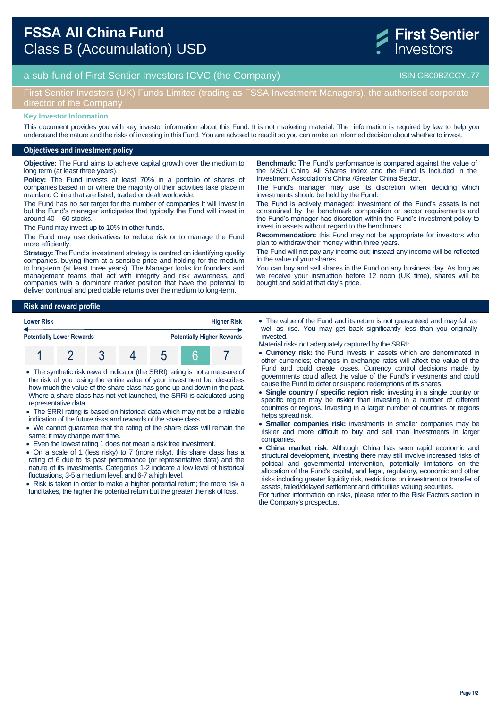

# a sub-fund of First Sentier Investors ICVC (the Company) and the Company ISIN GB00BZCCYL77

### First Sentier Investors (UK) Funds Limited (trading as FSSA Investment Managers), the authorised corporate director of the Company

#### **Key Investor Information**

This document provides you with key investor information about this Fund. It is not marketing material. The information is required by law to help you understand the nature and the risks of investing in this Fund. You are advised to read it so you can make an informed decision about whether to invest.

### **Objectives and investment policy**

**Objective:** The Fund aims to achieve capital growth over the medium to long term (at least three years).

**Policy:** The Fund invests at least 70% in a portfolio of shares of companies based in or where the majority of their activities take place in mainland China that are listed, traded or dealt worldwide.

The Fund has no set target for the number of companies it will invest in but the Fund's manager anticipates that typically the Fund will invest in around 40 – 60 stocks.

The Fund may invest up to 10% in other funds.

The Fund may use derivatives to reduce risk or to manage the Fund more efficiently.

**Strategy:** The Fund's investment strategy is centred on identifying quality companies, buying them at a sensible price and holding for the medium to long-term (at least three years). The Manager looks for founders and management teams that act with integrity and risk awareness, and companies with a dominant market position that have the potential to deliver continual and predictable returns over the medium to long-term.

**Risk and reward profile Lower Risk Higher Risk Potentially Lower Rewards Potentially Higher Rewards** 1 2 3 4 5 6 7

 The synthetic risk reward indicator (the SRRI) rating is not a measure of the risk of you losing the entire value of your investment but describes how much the value of the share class has gone up and down in the past. Where a share class has not yet launched, the SRRI is calculated using representative data.

- The SRRI rating is based on historical data which may not be a reliable indication of the future risks and rewards of the share class.
- We cannot guarantee that the rating of the share class will remain the same; it may change over time.
- Even the lowest rating 1 does not mean a risk free investment.
- On a scale of 1 (less risky) to 7 (more risky), this share class has a rating of 6 due to its past performance (or representative data) and the nature of its investments. Categories 1-2 indicate a low level of historical fluctuations, 3-5 a medium level, and 6-7 a high level.

• Risk is taken in order to make a higher potential return; the more risk a fund takes, the higher the potential return but the greater the risk of loss.

**Benchmark:** The Fund's performance is compared against the value of the MSCI China All Shares Index and the Fund is included in the Investment Association's China /Greater China Sector.

The Fund's manager may use its discretion when deciding which investments should be held by the Fund.

The Fund is actively managed; investment of the Fund's assets is not constrained by the benchmark composition or sector requirements and the Fund's manager has discretion within the Fund's investment policy to invest in assets without regard to the benchmark.

**Recommendation:** this Fund may not be appropriate for investors who plan to withdraw their money within three years.

The Fund will not pay any income out; instead any income will be reflected in the value of your shares.

You can buy and sell shares in the Fund on any business day. As long as we receive your instruction before 12 noon (UK time), shares will be bought and sold at that day's price.

- The value of the Fund and its return is not guaranteed and may fall as well as rise. You may get back significantly less than you originally invested.
- Material risks not adequately captured by the SRRI:
- **Currency risk:** the Fund invests in assets which are denominated in other currencies; changes in exchange rates will affect the value of the Fund and could create losses. Currency control decisions made by governments could affect the value of the Fund's investments and could cause the Fund to defer or suspend redemptions of its shares.
- **Single country / specific region risk:** investing in a single country or specific region may be riskier than investing in a number of different countries or regions. Investing in a larger number of countries or regions helps spread risk.
- **Smaller companies risk:** investments in smaller companies may be riskier and more difficult to buy and sell than investments in larger companies.
- **China market risk**: Although China has seen rapid economic and structural development, investing there may still involve increased risks of political and governmental intervention, potentially limitations on the allocation of the Fund's capital, and legal, regulatory, economic and other risks including greater liquidity risk, restrictions on investment or transfer of assets, failed/delayed settlement and difficulties valuing securities.

For further information on risks, please refer to the Risk Factors section in the Company's prospectus.